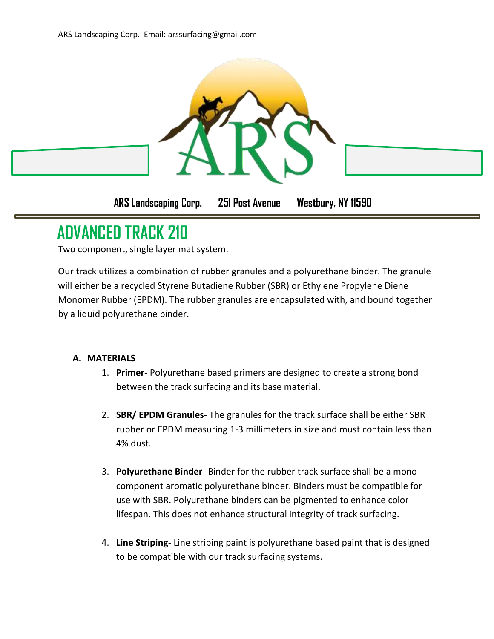

## **ADVANCED TRACK 210**

Two component, single layer mat system.

Our track utilizes a combination of rubber granules and a polyurethane binder. The granule will either be a recycled Styrene Butadiene Rubber (SBR) or Ethylene Propylene Diene Monomer Rubber (EPDM). The rubber granules are encapsulated with, and bound together by a liquid polyurethane binder.

## **A. MATERIALS**

- 1. **Primer** Polyurethane based primers are designed to create a strong bond between the track surfacing and its base material.
- 2. **SBR/ EPDM Granules** The granules for the track surface shall be either SBR rubber or EPDM measuring 1-3 millimeters in size and must contain less than 4% dust.
- 3. **Polyurethane Binder** Binder for the rubber track surface shall be a monocomponent aromatic polyurethane binder. Binders must be compatible for use with SBR. Polyurethane binders can be pigmented to enhance color lifespan. This does not enhance structural integrity of track surfacing.
- 4. **Line Striping** Line striping paint is polyurethane based paint that is designed to be compatible with our track surfacing systems.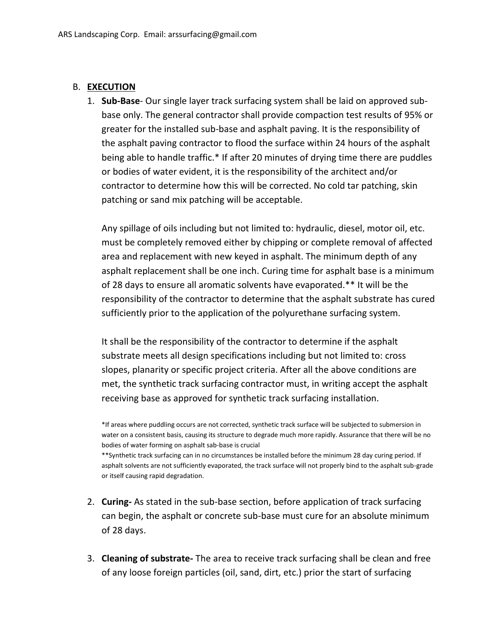## B. **EXECUTION**

1. **Sub-Base**- Our single layer track surfacing system shall be laid on approved subbase only. The general contractor shall provide compaction test results of 95% or greater for the installed sub-base and asphalt paving. It is the responsibility of the asphalt paving contractor to flood the surface within 24 hours of the asphalt being able to handle traffic.\* If after 20 minutes of drying time there are puddles or bodies of water evident, it is the responsibility of the architect and/or contractor to determine how this will be corrected. No cold tar patching, skin patching or sand mix patching will be acceptable.

Any spillage of oils including but not limited to: hydraulic, diesel, motor oil, etc. must be completely removed either by chipping or complete removal of affected area and replacement with new keyed in asphalt. The minimum depth of any asphalt replacement shall be one inch. Curing time for asphalt base is a minimum of 28 days to ensure all aromatic solvents have evaporated.\*\* It will be the responsibility of the contractor to determine that the asphalt substrate has cured sufficiently prior to the application of the polyurethane surfacing system.

It shall be the responsibility of the contractor to determine if the asphalt substrate meets all design specifications including but not limited to: cross slopes, planarity or specific project criteria. After all the above conditions are met, the synthetic track surfacing contractor must, in writing accept the asphalt receiving base as approved for synthetic track surfacing installation.

\*\*Synthetic track surfacing can in no circumstances be installed before the minimum 28 day curing period. If asphalt solvents are not sufficiently evaporated, the track surface will not properly bind to the asphalt sub-grade or itself causing rapid degradation.

- 2. **Curing-** As stated in the sub-base section, before application of track surfacing can begin, the asphalt or concrete sub-base must cure for an absolute minimum of 28 days.
- 3. **Cleaning of substrate-** The area to receive track surfacing shall be clean and free of any loose foreign particles (oil, sand, dirt, etc.) prior the start of surfacing

<sup>\*</sup>If areas where puddling occurs are not corrected, synthetic track surface will be subjected to submersion in water on a consistent basis, causing its structure to degrade much more rapidly. Assurance that there will be no bodies of water forming on asphalt sab-base is crucial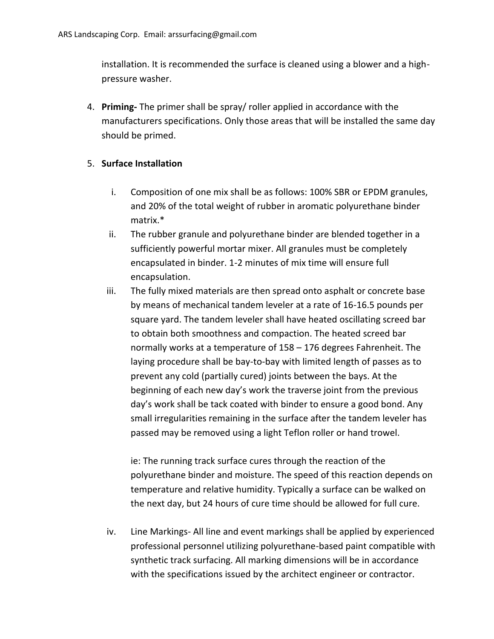installation. It is recommended the surface is cleaned using a blower and a highpressure washer.

4. **Priming-** The primer shall be spray/ roller applied in accordance with the manufacturers specifications. Only those areas that will be installed the same day should be primed.

## 5. **Surface Installation**

- i. Composition of one mix shall be as follows: 100% SBR or EPDM granules, and 20% of the total weight of rubber in aromatic polyurethane binder matrix.\*
- ii. The rubber granule and polyurethane binder are blended together in a sufficiently powerful mortar mixer. All granules must be completely encapsulated in binder. 1-2 minutes of mix time will ensure full encapsulation.
- iii. The fully mixed materials are then spread onto asphalt or concrete base by means of mechanical tandem leveler at a rate of 16-16.5 pounds per square yard. The tandem leveler shall have heated oscillating screed bar to obtain both smoothness and compaction. The heated screed bar normally works at a temperature of 158 – 176 degrees Fahrenheit. The laying procedure shall be bay-to-bay with limited length of passes as to prevent any cold (partially cured) joints between the bays. At the beginning of each new day's work the traverse joint from the previous day's work shall be tack coated with binder to ensure a good bond. Any small irregularities remaining in the surface after the tandem leveler has passed may be removed using a light Teflon roller or hand trowel.

ie: The running track surface cures through the reaction of the polyurethane binder and moisture. The speed of this reaction depends on temperature and relative humidity. Typically a surface can be walked on the next day, but 24 hours of cure time should be allowed for full cure.

iv. Line Markings- All line and event markings shall be applied by experienced professional personnel utilizing polyurethane-based paint compatible with synthetic track surfacing. All marking dimensions will be in accordance with the specifications issued by the architect engineer or contractor.